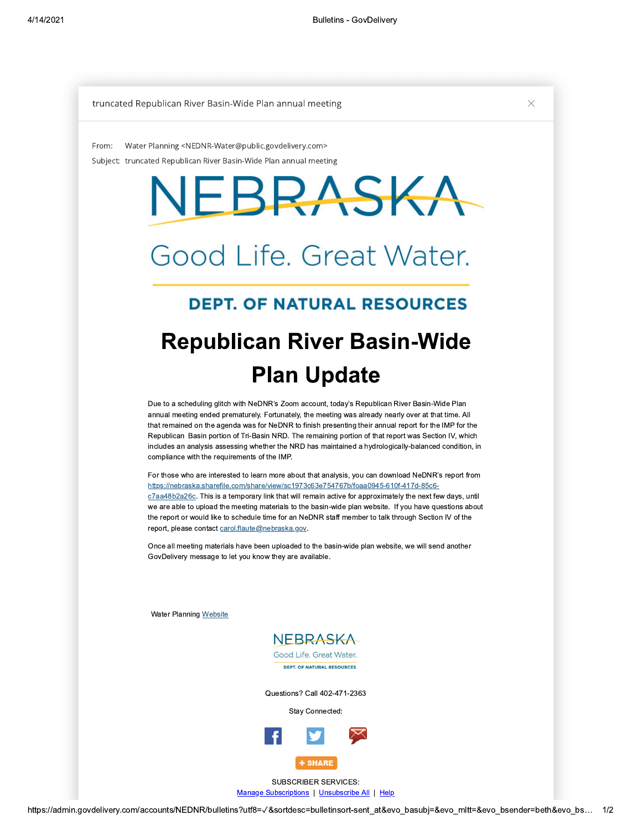## truncated Republican River Basin-Wide Plan annual meeting  $\times$

Subject: truncated Republican River Basin-Wide Plan annual meeting From: Water Planning <NEDNR-Water@public.govdelivery.com>

,-.31A5.0A3

<=<>?@A01B32@C9::@DB.:0E06:025@73

## 57280406-.:51B745F0AGB357 ,2BK08@:L0A3 BMMM  $\sim$ A $\sim$ UKA $\sim$ 977-B:406@A23C@A280406-.:51B7

### 280406-.:51B7GB3576@A25@73@CUA5V 406-.:51B7 75 FOA J330K3 ><O=ZO<=<=>=R=P9TH,U

# PT. OF NATURAL RESOURCES

#### IM20257-B:T00257-B:T00257-B:T00257-B:T00257-B:T00257-B:T00257-B:T00257-B:T00257-B:T00257-B:T00257-B:T00257-B:T00257-B:T00257-B:T00257-B:T00257-B:T00257-B:T00257-B:T00257-B:T00257-B:T00257-B:T00257-B:T00257-B:T00257-B:T0025 Republican River Basin-wide 406-.:51B7  $\blacksquare$  $\overline{\phantom{a}}$ Pian Update

annual meeting ended prematurely. Fortunately, the meeting was already nearly over at that time. All Due to a scheduling glitch with NeDNR's Zoom account, today's Republican River Basin-Wide Plan annual meeting ended prematurely. Fortunately, the meeting was already nearly over at that time. All<br>that remained on the agenda was for NeDNR to finish presenting their annual report for the IMP for the compliance with the requirements of the IMP. Republican Basin portion of Tri-Basin NRD. The remaining portion of that report was Section IV, which includes an analysis assessing whether the NRD has maintained a nydrologically-balanced condition, in  $\,$ 

For those who are interested to learn more about that analysis, you can download NeDNR's report from <u>Repermicident contractions in the metallicity of the control of the metallicity for the cost.</u><br>C7aa48b2a26c. This is a temporary link that will remain active for approximately the next few days, until report, please contact carol.flaute@nebraska.gov.<br>
Allen Contact Carol.flaute@nebraska.gov. the report or would like to schedule time for an NeDNR staff member to talk through Section IV of the <u>https://hebraska.sharefile.com/share/view/sc1973c63e754767b/f0aa0945-610f-417d-85c6-</u> we are able to upload the meeting materials to the basin-wide plan website. If you have questions about

once all meeting materials have been uploaded to the basin-wide plan website, we will send another<br>Once all meeting materials have been uploaded to the basin-wide plan website, we will send another GovDelivery message to let you know they are available.

water Planning <u>website</u>



Questions  $\ell$  Call 402-471-2363

Stay Connected:



<u>Manage Subscriptions</u> | <u>Unsubscribe Ali</u> | <u>Help</u>